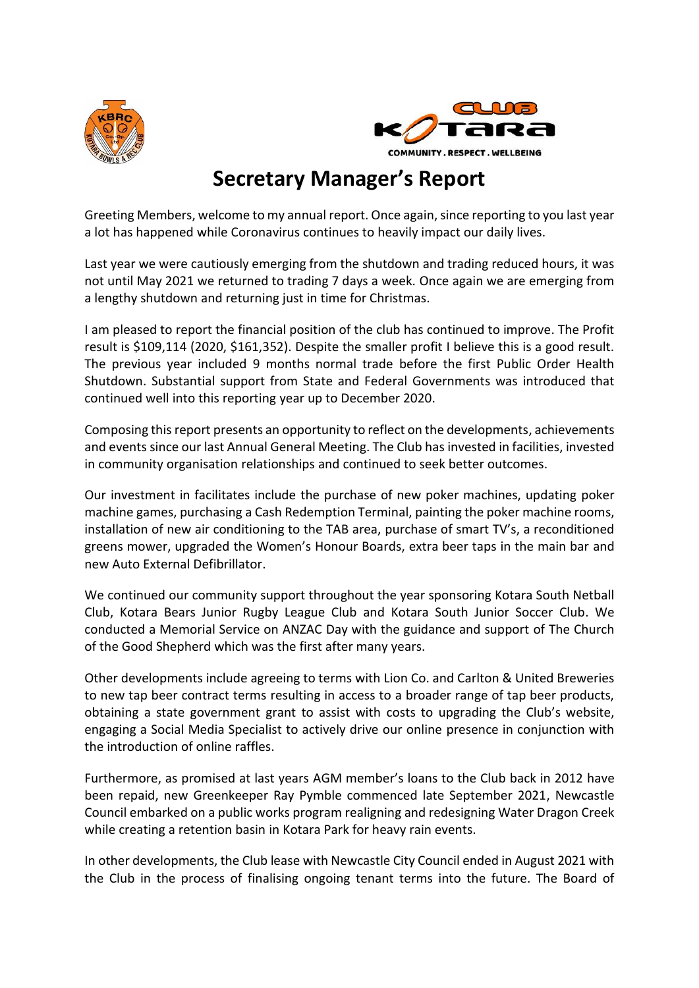



## **Secretary Manager's Report**

Greeting Members, welcome to my annual report. Once again, since reporting to you last year a lot has happened while Coronavirus continues to heavily impact our daily lives.

Last year we were cautiously emerging from the shutdown and trading reduced hours, it was not until May 2021 we returned to trading 7 days a week. Once again we are emerging from a lengthy shutdown and returning just in time for Christmas.

I am pleased to report the financial position of the club has continued to improve. The Profit result is \$109,114 (2020, \$161,352). Despite the smaller profit I believe this is a good result. The previous year included 9 months normal trade before the first Public Order Health Shutdown. Substantial support from State and Federal Governments was introduced that continued well into this reporting year up to December 2020.

Composing this report presents an opportunity to reflect on the developments, achievements and events since our last Annual General Meeting. The Club has invested in facilities, invested in community organisation relationships and continued to seek better outcomes.

Our investment in facilitates include the purchase of new poker machines, updating poker machine games, purchasing a Cash Redemption Terminal, painting the poker machine rooms, installation of new air conditioning to the TAB area, purchase of smart TV's, a reconditioned greens mower, upgraded the Women's Honour Boards, extra beer taps in the main bar and new Auto External Defibrillator.

We continued our community support throughout the year sponsoring Kotara South Netball Club, Kotara Bears Junior Rugby League Club and Kotara South Junior Soccer Club. We conducted a Memorial Service on ANZAC Day with the guidance and support of The Church of the Good Shepherd which was the first after many years.

Other developments include agreeing to terms with Lion Co. and Carlton & United Breweries to new tap beer contract terms resulting in access to a broader range of tap beer products, obtaining a state government grant to assist with costs to upgrading the Club's website, engaging a Social Media Specialist to actively drive our online presence in conjunction with the introduction of online raffles.

Furthermore, as promised at last years AGM member's loans to the Club back in 2012 have been repaid, new Greenkeeper Ray Pymble commenced late September 2021, Newcastle Council embarked on a public works program realigning and redesigning Water Dragon Creek while creating a retention basin in Kotara Park for heavy rain events.

In other developments, the Club lease with Newcastle City Council ended in August 2021 with the Club in the process of finalising ongoing tenant terms into the future. The Board of